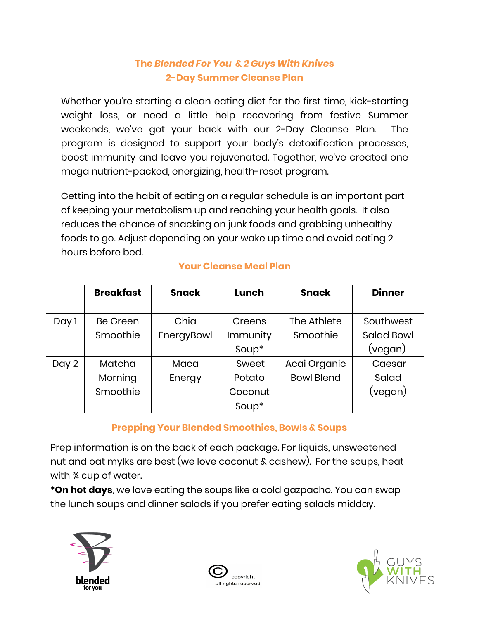### **The** *Blended For You* **&** *2 Guys With Knive***s 2-Day Summer Cleanse Plan**

Whether you're starting a clean eating diet for the first time, kick-starting weight loss, or need a little help recovering from festive Summer weekends, we've got your back with our 2-Day Cleanse Plan. The program is designed to support your body's detoxification processes, boost immunity and leave you rejuvenated. Together, we've created one mega nutrient-packed, energizing, health-reset program.

Getting into the habit of eating on a regular schedule is an important part of keeping your metabolism up and reaching your health goals. It also reduces the chance of snacking on junk foods and grabbing unhealthy foods to go. Adjust depending on your wake up time and avoid eating 2 hours before bed.

|       | <b>Breakfast</b> | <b>Snack</b> | Lunch    | <b>Snack</b>      | <b>Dinner</b>     |
|-------|------------------|--------------|----------|-------------------|-------------------|
| Day 1 | <b>Be Green</b>  | Chia         | Greens   | The Athlete       | Southwest         |
|       | Smoothie         | EnergyBowl   | Immunity | Smoothie          | <b>Salad Bowl</b> |
|       |                  |              | Soup*    |                   | (vegan)           |
| Day 2 | Matcha           | Maca         | Sweet    | Acai Organic      | Caesar            |
|       | Morning          | Energy       | Potato   | <b>Bowl Blend</b> | Salad             |
|       | Smoothie         |              | Coconut  |                   | (vegan)           |
|       |                  |              | Soup*    |                   |                   |

#### **Your Cleanse Meal Plan**

#### **Prepping Your Blended Smoothies, Bowls & Soups**

Prep information is on the back of each package. For liquids, unsweetened nut and oat mylks are best (we love coconut & cashew). For the soups, heat with ¾ cup of water.

\***On hot days**, we love eating the soups like a cold gazpacho. You can swap the lunch soups and dinner salads if you prefer eating salads midday.





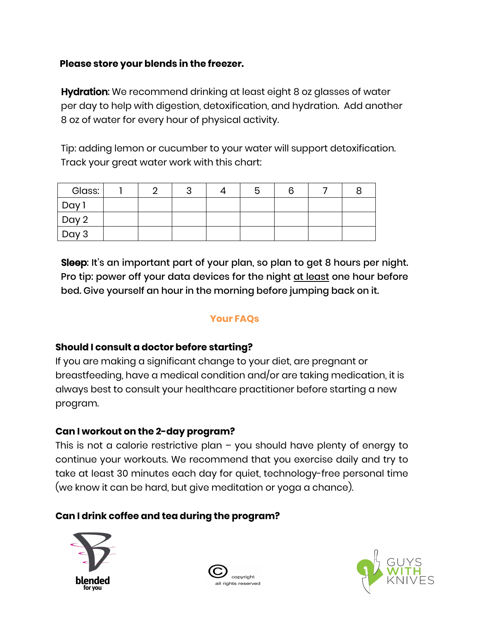#### **Please store your blends in the freezer.**

**Hydration:** We recommend drinking at least eight 8 oz glasses of water per day to help with digestion, detoxification, and hydration. Add another 8 oz of water for every hour of physical activity.

Tip: adding lemon or cucumber to your water will support detoxification. Track your great water work with this chart:

| Glass:         | ⌒ | ັ |  |  |  |
|----------------|---|---|--|--|--|
| , Day'         |   |   |  |  |  |
| $\sqrt{$ Day 2 |   |   |  |  |  |
| $\vert$ Day 3  |   |   |  |  |  |

Sleep: It's an important part of your plan, so plan to get 8 hours per night. Pro tip: power off your data devices for the night at least one hour before bed. Give yourself an hour in the morning before jumping back on it.

#### **Your FAQs**

#### **Should I consult a doctor before starting?**

 If you are making a significant change to your diet, are pregnant or breastfeeding, have a medical condition and/or are taking medication, it is always best to consult your healthcare practitioner before starting a new program.

#### **Can I workout on the 2-day program?**

This is not a calorie restrictive plan – you should have plenty of energy to continue your workouts. We recommend that you exercise daily and try to take at least 30 minutes each day for quiet, technology-free personal time (we know it can be hard, but give meditation or yoga a chance).

#### **Can I drink coffee and tea during the program?**





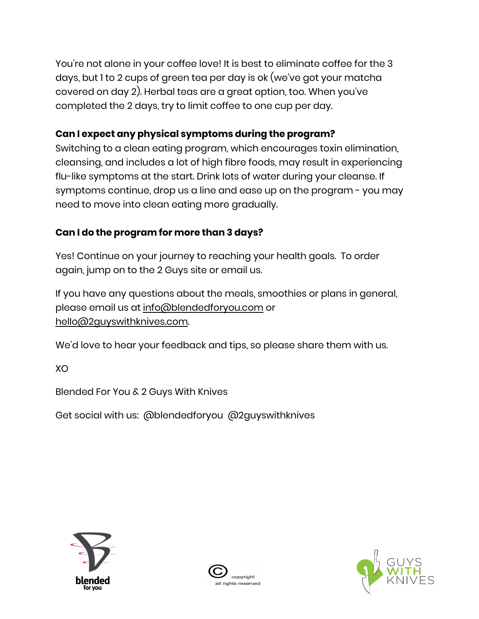You're not alone in your coffee love! It is best to eliminate coffee for the 3 days, but 1 to 2 cups of green tea per day is ok (we've got your matcha covered on day 2). Herbal teas are a great option, too. When you've completed the 2 days, try to limit coffee to one cup per day.

## **Can I expect any physical symptoms during the program?**

Switching to a clean eating program, which encourages toxin elimination,<br>cleansing, and includes a lot of high fibre foods, may result in experiencing flu-like symptoms at the start. Drink lots of water during your cleanse. If symptoms continue, drop us a line and ease up on the program - you may need to move into clean eating more gradually.

## **Can I do the program for more than 3 days?**

Yes! Continue on your journey to reaching your health goals. To order again, jump on to the 2 Guys site or email us.

If you have any questions about the meals, smoothies or plans in general, please email us at info@blendedforyou.com or

[hello@2guyswithknives.com](mailto:hello@2guyswithknives.com).<br>We'd love to hear your feedback and tips, so please share them with us.

XO

Blended For You & 2 Guys With Knives

Get social with us: @blendedforyou @2guyswithknives





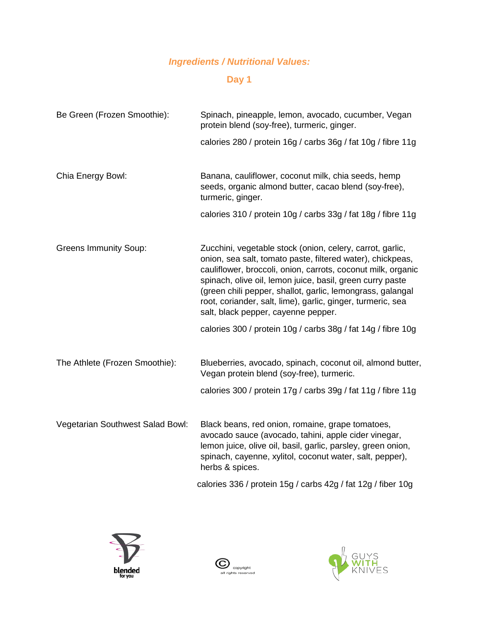# *Ingredients / Nutritional Values:*

# **Day 1**

| Be Green (Frozen Smoothie):      | Spinach, pineapple, lemon, avocado, cucumber, Vegan<br>protein blend (soy-free), turmeric, ginger.                                                                                                                                                                                                                                                                                                                       |  |  |  |  |
|----------------------------------|--------------------------------------------------------------------------------------------------------------------------------------------------------------------------------------------------------------------------------------------------------------------------------------------------------------------------------------------------------------------------------------------------------------------------|--|--|--|--|
|                                  | calories 280 / protein 16g / carbs 36g / fat 10g / fibre 11g                                                                                                                                                                                                                                                                                                                                                             |  |  |  |  |
| Chia Energy Bowl:                | Banana, cauliflower, coconut milk, chia seeds, hemp<br>seeds, organic almond butter, cacao blend (soy-free),<br>turmeric, ginger.                                                                                                                                                                                                                                                                                        |  |  |  |  |
|                                  | calories 310 / protein 10g / carbs 33g / fat 18g / fibre 11g                                                                                                                                                                                                                                                                                                                                                             |  |  |  |  |
| <b>Greens Immunity Soup:</b>     | Zucchini, vegetable stock (onion, celery, carrot, garlic,<br>onion, sea salt, tomato paste, filtered water), chickpeas,<br>cauliflower, broccoli, onion, carrots, coconut milk, organic<br>spinach, olive oil, lemon juice, basil, green curry paste<br>(green chili pepper, shallot, garlic, lemongrass, galangal<br>root, coriander, salt, lime), garlic, ginger, turmeric, sea<br>salt, black pepper, cayenne pepper. |  |  |  |  |
|                                  | calories 300 / protein 10g / carbs 38g / fat 14g / fibre 10g                                                                                                                                                                                                                                                                                                                                                             |  |  |  |  |
| The Athlete (Frozen Smoothie):   | Blueberries, avocado, spinach, coconut oil, almond butter,<br>Vegan protein blend (soy-free), turmeric.                                                                                                                                                                                                                                                                                                                  |  |  |  |  |
|                                  | calories 300 / protein 17g / carbs 39g / fat 11g / fibre 11g                                                                                                                                                                                                                                                                                                                                                             |  |  |  |  |
| Vegetarian Southwest Salad Bowl: | Black beans, red onion, romaine, grape tomatoes,<br>avocado sauce (avocado, tahini, apple cider vinegar,<br>lemon juice, olive oil, basil, garlic, parsley, green onion,<br>spinach, cayenne, xylitol, coconut water, salt, pepper),<br>herbs & spices.                                                                                                                                                                  |  |  |  |  |
|                                  | calories 336 / protein 15g / carbs 42g / fat 12g / fiber 10g                                                                                                                                                                                                                                                                                                                                                             |  |  |  |  |